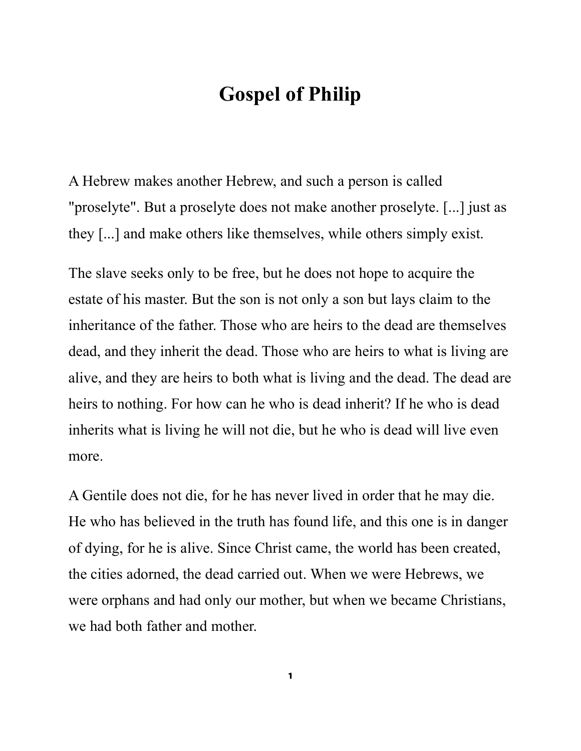## Gospel of Philip

A Hebrew makes another Hebrew, and such a person is called "proselyte". But a proselyte does not make another proselyte. [...] just as they [...] and make others like themselves, while others simply exist.

The slave seeks only to be free, but he does not hope to acquire the estate of his master. But the son is not only a son but lays claim to the inheritance of the father. Those who are heirs to the dead are themselves dead, and they inherit the dead. Those who are heirs to what is living are alive, and they are heirs to both what is living and the dead. The dead are heirs to nothing. For how can he who is dead inherit? If he who is dead inherits what is living he will not die, but he who is dead will live even more.

A Gentile does not die, for he has never lived in order that he may die. He who has believed in the truth has found life, and this one is in danger of dying, for he is alive. Since Christ came, the world has been created, the cities adorned, the dead carried out. When we were Hebrews, we were orphans and had only our mother, but when we became Christians, we had both father and mother.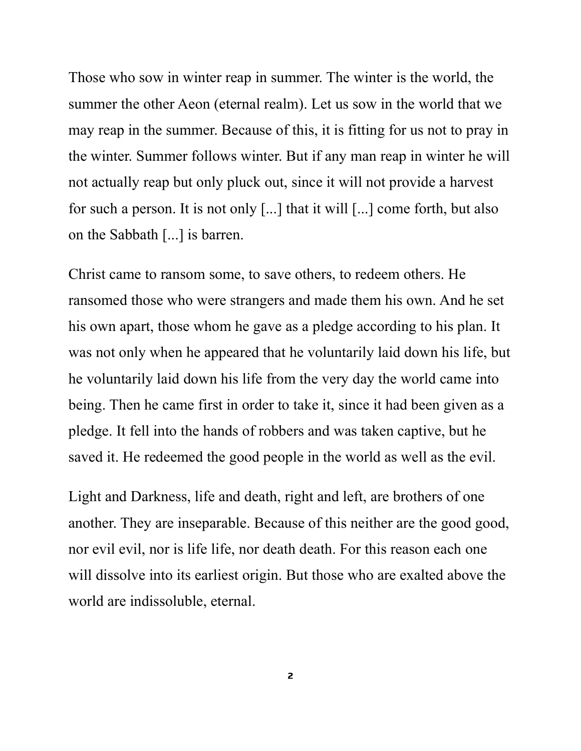Those who sow in winter reap in summer. The winter is the world, the summer the other Aeon (eternal realm). Let us sow in the world that we may reap in the summer. Because of this, it is fitting for us not to pray in the winter. Summer follows winter. But if any man reap in winter he will not actually reap but only pluck out, since it will not provide a harvest for such a person. It is not only [...] that it will [...] come forth, but also on the Sabbath [...] is barren.

Christ came to ransom some, to save others, to redeem others. He ransomed those who were strangers and made them his own. And he set his own apart, those whom he gave as a pledge according to his plan. It was not only when he appeared that he voluntarily laid down his life, but he voluntarily laid down his life from the very day the world came into being. Then he came first in order to take it, since it had been given as a pledge. It fell into the hands of robbers and was taken captive, but he saved it. He redeemed the good people in the world as well as the evil.

Light and Darkness, life and death, right and left, are brothers of one another. They are inseparable. Because of this neither are the good good, nor evil evil, nor is life life, nor death death. For this reason each one will dissolve into its earliest origin. But those who are exalted above the world are indissoluble, eternal.

 $\mathbf{z}$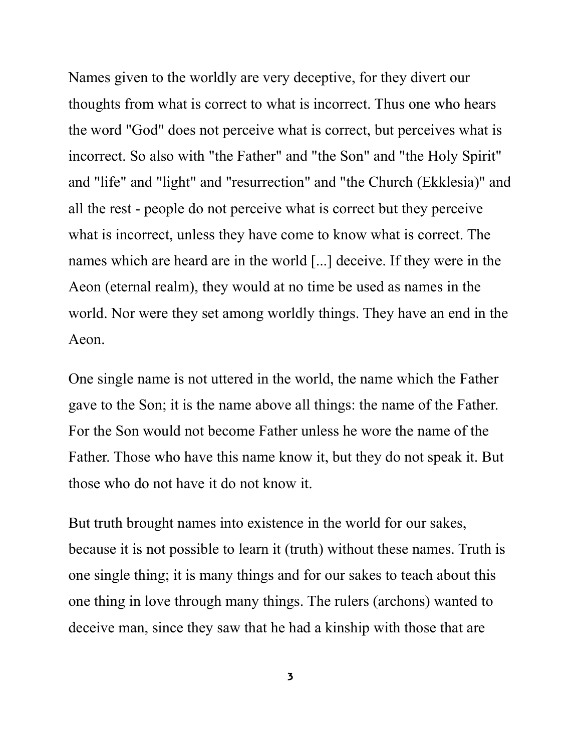Names given to the worldly are very deceptive, for they divert our thoughts from what is correct to what is incorrect. Thus one who hears the word "God" does not perceive what is correct, but perceives what is incorrect. So also with "the Father" and "the Son" and "the Holy Spirit" and "life" and "light" and "resurrection" and "the Church (Ekklesia)" and all the rest - people do not perceive what is correct but they perceive what is incorrect, unless they have come to know what is correct. The names which are heard are in the world [...] deceive. If they were in the Aeon (eternal realm), they would at no time be used as names in the world. Nor were they set among worldly things. They have an end in the Aeon.

One single name is not uttered in the world, the name which the Father gave to the Son; it is the name above all things: the name of the Father. For the Son would not become Father unless he wore the name of the Father. Those who have this name know it, but they do not speak it. But those who do not have it do not know it.

But truth brought names into existence in the world for our sakes, because it is not possible to learn it (truth) without these names. Truth is one single thing; it is many things and for our sakes to teach about this one thing in love through many things. The rulers (archons) wanted to deceive man, since they saw that he had a kinship with those that are

 $\overline{\mathbf{3}}$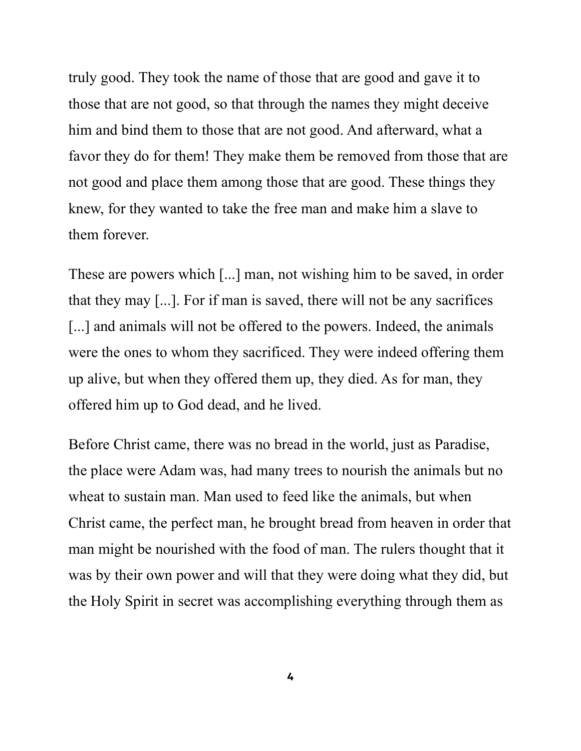truly good. They took the name of those that are good and gave it to those that are not good, so that through the names they might deceive him and bind them to those that are not good. And afterward, what a favor they do for them! They make them be removed from those that are not good and place them among those that are good. These things they knew, for they wanted to take the free man and make him a slave to them forever.

These are powers which [...] man, not wishing him to be saved, in order that they may [...]. For if man is saved, there will not be any sacrifices [...] and animals will not be offered to the powers. Indeed, the animals were the ones to whom they sacrificed. They were indeed offering them up alive, but when they offered them up, they died. As for man, they offered him up to God dead, and he lived.

Before Christ came, there was no bread in the world, just as Paradise, the place were Adam was, had many trees to nourish the animals but no wheat to sustain man. Man used to feed like the animals, but when Christ came, the perfect man, he brought bread from heaven in order that man might be nourished with the food of man. The rulers thought that it was by their own power and will that they were doing what they did, but the Holy Spirit in secret was accomplishing everything through them as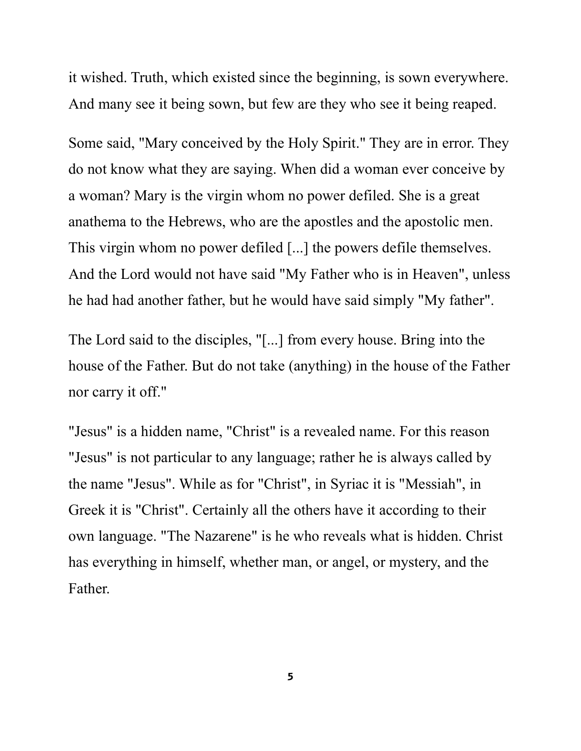it wished. Truth, which existed since the beginning, is sown everywhere. And many see it being sown, but few are they who see it being reaped.

Some said, "Mary conceived by the Holy Spirit." They are in error. They do not know what they are saying. When did a woman ever conceive by a woman? Mary is the virgin whom no power defiled. She is a great anathema to the Hebrews, who are the apostles and the apostolic men. This virgin whom no power defiled [...] the powers defile themselves. And the Lord would not have said "My Father who is in Heaven", unless he had had another father, but he would have said simply "My father".

The Lord said to the disciples, "[...] from every house. Bring into the house of the Father. But do not take (anything) in the house of the Father nor carry it off."

"Jesus" is a hidden name, "Christ" is a revealed name. For this reason "Jesus" is not particular to any language; rather he is always called by the name "Jesus". While as for "Christ", in Syriac it is "Messiah", in Greek it is "Christ". Certainly all the others have it according to their own language. "The Nazarene" is he who reveals what is hidden. Christ has everything in himself, whether man, or angel, or mystery, and the Father.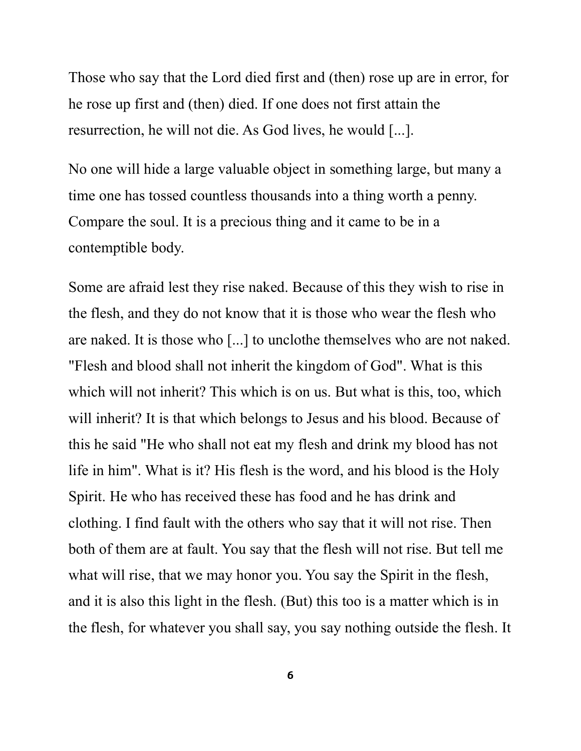Those who say that the Lord died first and (then) rose up are in error, for he rose up first and (then) died. If one does not first attain the resurrection, he will not die. As God lives, he would [...].

No one will hide a large valuable object in something large, but many a time one has tossed countless thousands into a thing worth a penny. Compare the soul. It is a precious thing and it came to be in a contemptible body.

Some are afraid lest they rise naked. Because of this they wish to rise in the flesh, and they do not know that it is those who wear the flesh who are naked. It is those who [...] to unclothe themselves who are not naked. "Flesh and blood shall not inherit the kingdom of God". What is this which will not inherit? This which is on us. But what is this, too, which will inherit? It is that which belongs to Jesus and his blood. Because of this he said "He who shall not eat my flesh and drink my blood has not life in him". What is it? His flesh is the word, and his blood is the Holy Spirit. He who has received these has food and he has drink and clothing. I find fault with the others who say that it will not rise. Then both of them are at fault. You say that the flesh will not rise. But tell me what will rise, that we may honor you. You say the Spirit in the flesh, and it is also this light in the flesh. (But) this too is a matter which is in the flesh, for whatever you shall say, you say nothing outside the flesh. It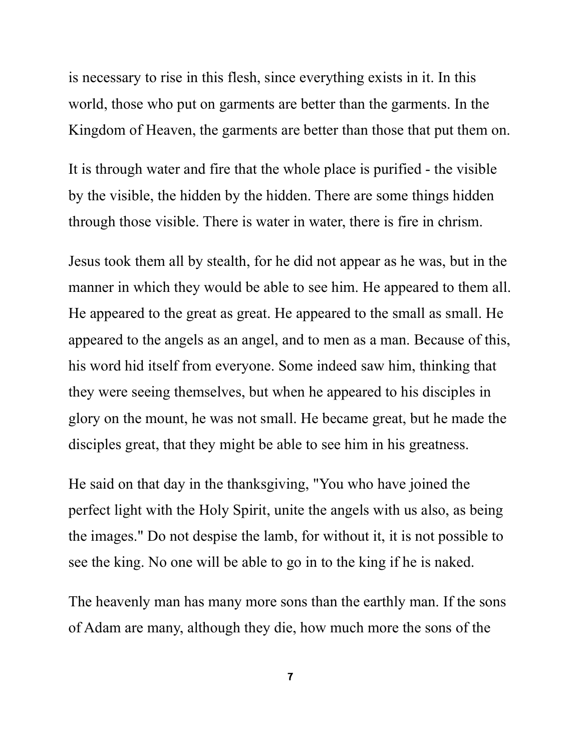is necessary to rise in this flesh, since everything exists in it. In this world, those who put on garments are better than the garments. In the Kingdom of Heaven, the garments are better than those that put them on.

It is through water and fire that the whole place is purified - the visible by the visible, the hidden by the hidden. There are some things hidden through those visible. There is water in water, there is fire in chrism.

Jesus took them all by stealth, for he did not appear as he was, but in the manner in which they would be able to see him. He appeared to them all. He appeared to the great as great. He appeared to the small as small. He appeared to the angels as an angel, and to men as a man. Because of this, his word hid itself from everyone. Some indeed saw him, thinking that they were seeing themselves, but when he appeared to his disciples in glory on the mount, he was not small. He became great, but he made the disciples great, that they might be able to see him in his greatness.

He said on that day in the thanksgiving, "You who have joined the perfect light with the Holy Spirit, unite the angels with us also, as being the images." Do not despise the lamb, for without it, it is not possible to see the king. No one will be able to go in to the king if he is naked.

The heavenly man has many more sons than the earthly man. If the sons of Adam are many, although they die, how much more the sons of the

 $\overline{\mathbf{7}}$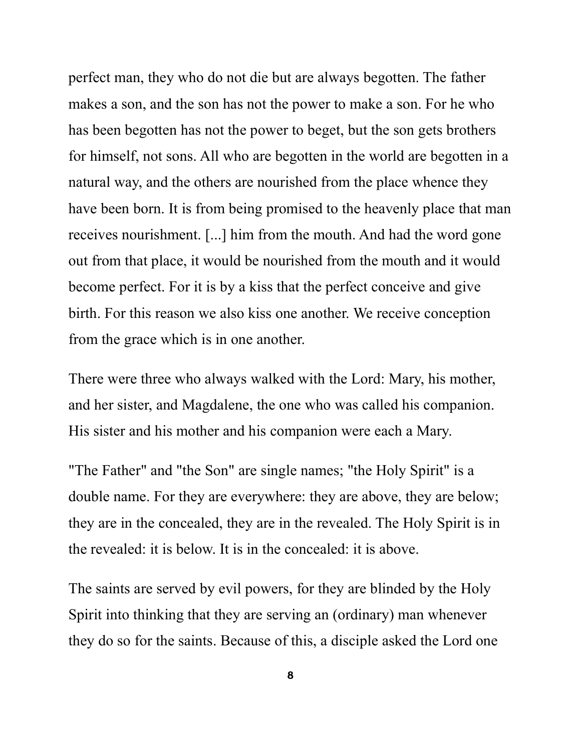perfect man, they who do not die but are always begotten. The father makes a son, and the son has not the power to make a son. For he who has been begotten has not the power to beget, but the son gets brothers for himself, not sons. All who are begotten in the world are begotten in a natural way, and the others are nourished from the place whence they have been born. It is from being promised to the heavenly place that man receives nourishment. [...] him from the mouth. And had the word gone out from that place, it would be nourished from the mouth and it would become perfect. For it is by a kiss that the perfect conceive and give birth. For this reason we also kiss one another. We receive conception from the grace which is in one another.

There were three who always walked with the Lord: Mary, his mother, and her sister, and Magdalene, the one who was called his companion. His sister and his mother and his companion were each a Mary.

"The Father" and "the Son" are single names; "the Holy Spirit" is a double name. For they are everywhere: they are above, they are below; they are in the concealed, they are in the revealed. The Holy Spirit is in the revealed: it is below. It is in the concealed: it is above.

The saints are served by evil powers, for they are blinded by the Holy Spirit into thinking that they are serving an (ordinary) man whenever they do so for the saints. Because of this, a disciple asked the Lord one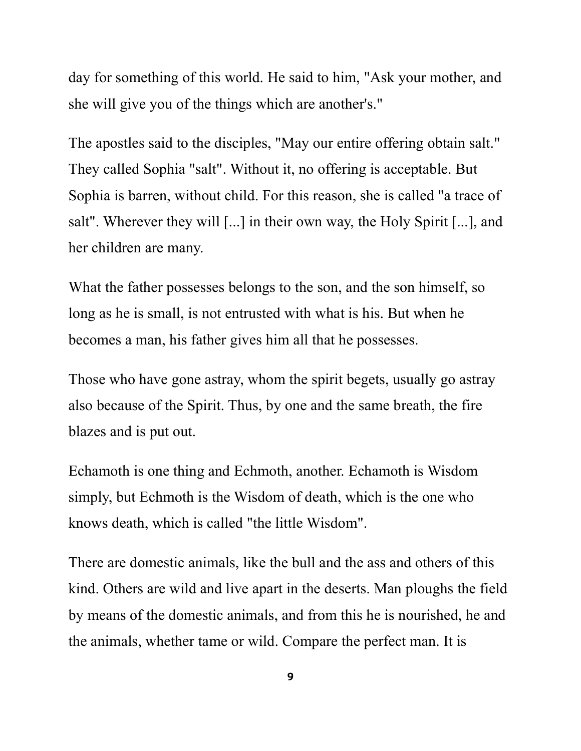day for something of this world. He said to him, "Ask your mother, and she will give you of the things which are another's."

The apostles said to the disciples, "May our entire offering obtain salt." They called Sophia "salt". Without it, no offering is acceptable. But Sophia is barren, without child. For this reason, she is called "a trace of salt". Wherever they will [...] in their own way, the Holy Spirit [...], and her children are many.

What the father possesses belongs to the son, and the son himself, so long as he is small, is not entrusted with what is his. But when he becomes a man, his father gives him all that he possesses.

Those who have gone astray, whom the spirit begets, usually go astray also because of the Spirit. Thus, by one and the same breath, the fire blazes and is put out.

Echamoth is one thing and Echmoth, another. Echamoth is Wisdom simply, but Echmoth is the Wisdom of death, which is the one who knows death, which is called "the little Wisdom".

There are domestic animals, like the bull and the ass and others of this kind. Others are wild and live apart in the deserts. Man ploughs the field by means of the domestic animals, and from this he is nourished, he and the animals, whether tame or wild. Compare the perfect man. It is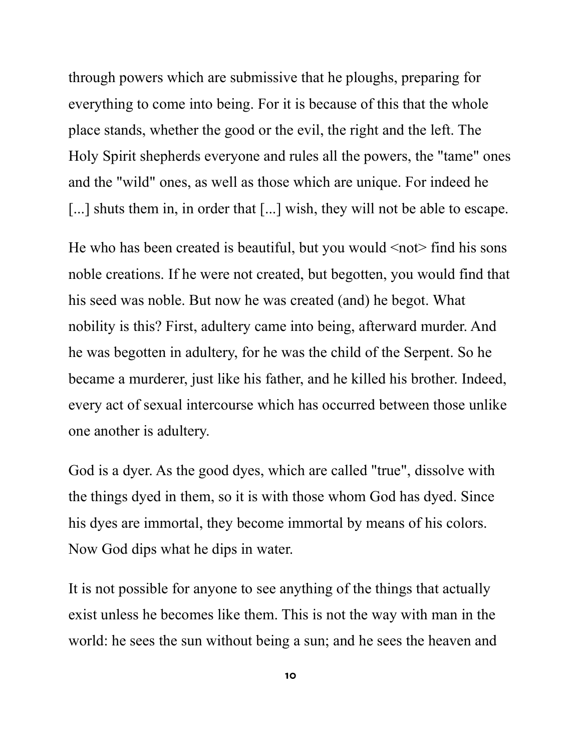through powers which are submissive that he ploughs, preparing for everything to come into being. For it is because of this that the whole place stands, whether the good or the evil, the right and the left. The Holy Spirit shepherds everyone and rules all the powers, the "tame" ones and the "wild" ones, as well as those which are unique. For indeed he [...] shuts them in, in order that [...] wish, they will not be able to escape.

He who has been created is beautiful, but you would  $\leq$  not  $\geq$  find his sons noble creations. If he were not created, but begotten, you would find that his seed was noble. But now he was created (and) he begot. What nobility is this? First, adultery came into being, afterward murder. And he was begotten in adultery, for he was the child of the Serpent. So he became a murderer, just like his father, and he killed his brother. Indeed, every act of sexual intercourse which has occurred between those unlike one another is adultery.

God is a dyer. As the good dyes, which are called "true", dissolve with the things dyed in them, so it is with those whom God has dyed. Since his dyes are immortal, they become immortal by means of his colors. Now God dips what he dips in water.

It is not possible for anyone to see anything of the things that actually exist unless he becomes like them. This is not the way with man in the world: he sees the sun without being a sun; and he sees the heaven and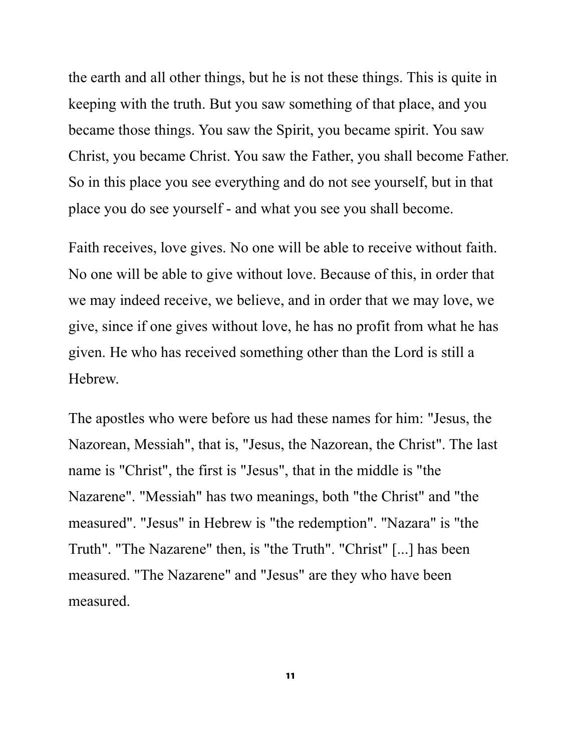the earth and all other things, but he is not these things. This is quite in keeping with the truth. But you saw something of that place, and you became those things. You saw the Spirit, you became spirit. You saw Christ, you became Christ. You saw the Father, you shall become Father. So in this place you see everything and do not see yourself, but in that place you do see yourself - and what you see you shall become.

Faith receives, love gives. No one will be able to receive without faith. No one will be able to give without love. Because of this, in order that we may indeed receive, we believe, and in order that we may love, we give, since if one gives without love, he has no profit from what he has given. He who has received something other than the Lord is still a Hebrew.

The apostles who were before us had these names for him: "Jesus, the Nazorean, Messiah", that is, "Jesus, the Nazorean, the Christ". The last name is "Christ", the first is "Jesus", that in the middle is "the Nazarene". "Messiah" has two meanings, both "the Christ" and "the measured". "Jesus" in Hebrew is "the redemption". "Nazara" is "the Truth". "The Nazarene" then, is "the Truth". "Christ" [...] has been measured. "The Nazarene" and "Jesus" are they who have been measured.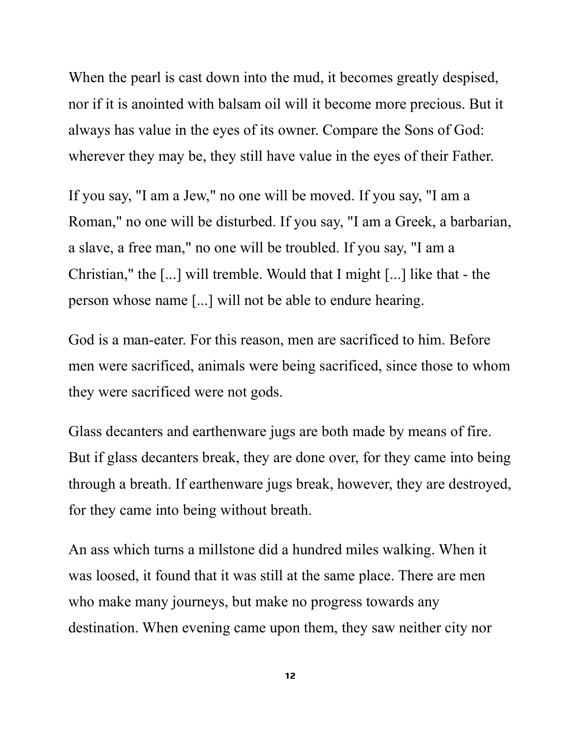When the pearl is cast down into the mud, it becomes greatly despised, nor if it is anointed with balsam oil will it become more precious. But it always has value in the eyes of its owner. Compare the Sons of God: wherever they may be, they still have value in the eyes of their Father.

If you say, "I am a Jew," no one will be moved. If you say, "I am a Roman," no one will be disturbed. If you say, "I am a Greek, a barbarian, a slave, a free man," no one will be troubled. If you say, "I am a Christian," the [...] will tremble. Would that I might [...] like that - the person whose name [...] will not be able to endure hearing.

God is a man-eater. For this reason, men are sacrificed to him. Before men were sacrificed, animals were being sacrificed, since those to whom they were sacrificed were not gods.

Glass decanters and earthenware jugs are both made by means of fire. But if glass decanters break, they are done over, for they came into being through a breath. If earthenware jugs break, however, they are destroyed, for they came into being without breath.

An ass which turns a millstone did a hundred miles walking. When it was loosed, it found that it was still at the same place. There are men who make many journeys, but make no progress towards any destination. When evening came upon them, they saw neither city nor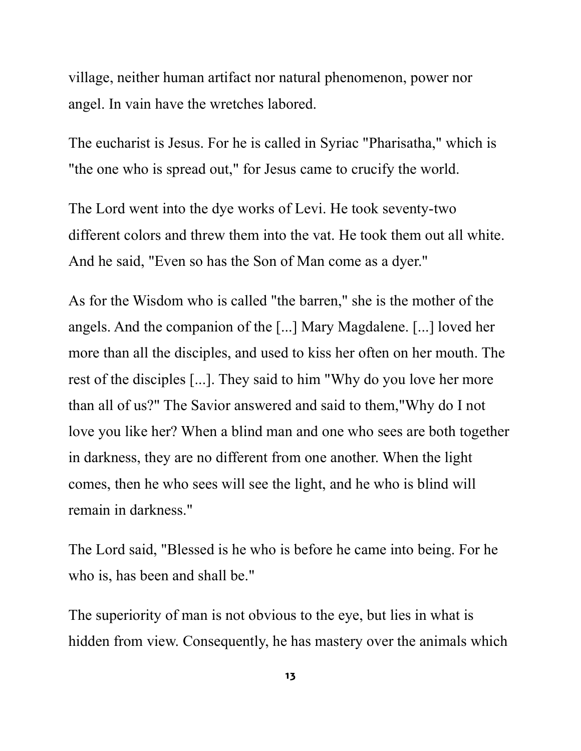village, neither human artifact nor natural phenomenon, power nor angel. In vain have the wretches labored.

The eucharist is Jesus. For he is called in Syriac "Pharisatha," which is "the one who is spread out," for Jesus came to crucify the world.

The Lord went into the dye works of Levi. He took seventy-two different colors and threw them into the vat. He took them out all white. And he said, "Even so has the Son of Man come as a dyer."

As for the Wisdom who is called "the barren," she is the mother of the angels. And the companion of the [...] Mary Magdalene. [...] loved her more than all the disciples, and used to kiss her often on her mouth. The rest of the disciples [...]. They said to him "Why do you love her more than all of us?" The Savior answered and said to them,"Why do I not love you like her? When a blind man and one who sees are both together in darkness, they are no different from one another. When the light comes, then he who sees will see the light, and he who is blind will remain in darkness."

The Lord said, "Blessed is he who is before he came into being. For he who is, has been and shall be."

The superiority of man is not obvious to the eye, but lies in what is hidden from view. Consequently, he has mastery over the animals which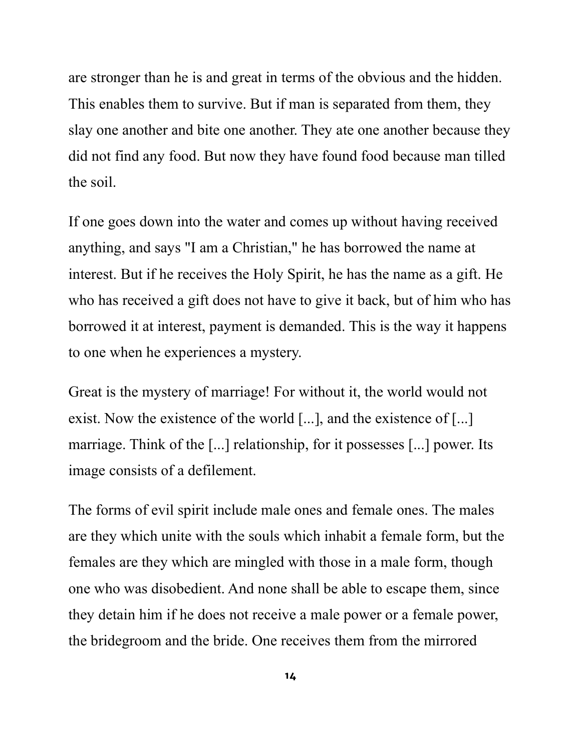are stronger than he is and great in terms of the obvious and the hidden. This enables them to survive. But if man is separated from them, they slay one another and bite one another. They ate one another because they did not find any food. But now they have found food because man tilled the soil.

If one goes down into the water and comes up without having received anything, and says "I am a Christian," he has borrowed the name at interest. But if he receives the Holy Spirit, he has the name as a gift. He who has received a gift does not have to give it back, but of him who has borrowed it at interest, payment is demanded. This is the way it happens to one when he experiences a mystery.

Great is the mystery of marriage! For without it, the world would not exist. Now the existence of the world [...], and the existence of [...] marriage. Think of the [...] relationship, for it possesses [...] power. Its image consists of a defilement.

The forms of evil spirit include male ones and female ones. The males are they which unite with the souls which inhabit a female form, but the females are they which are mingled with those in a male form, though one who was disobedient. And none shall be able to escape them, since they detain him if he does not receive a male power or a female power, the bridegroom and the bride. One receives them from the mirrored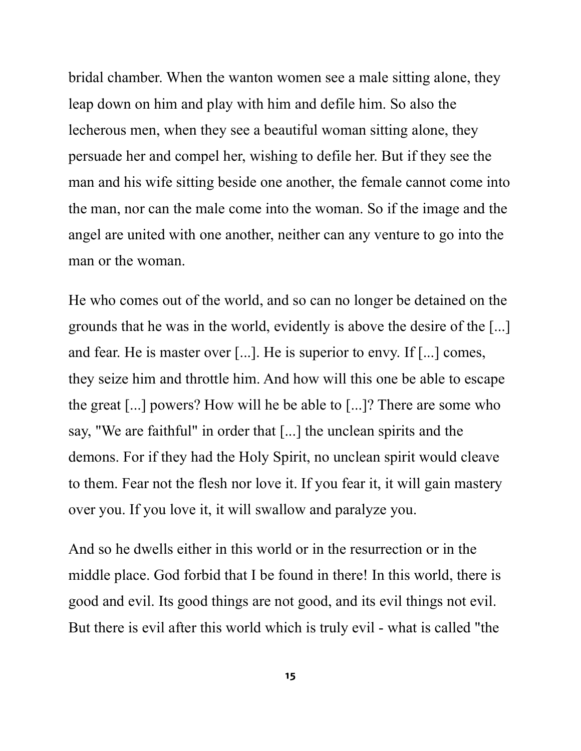bridal chamber. When the wanton women see a male sitting alone, they leap down on him and play with him and defile him. So also the lecherous men, when they see a beautiful woman sitting alone, they persuade her and compel her, wishing to defile her. But if they see the man and his wife sitting beside one another, the female cannot come into the man, nor can the male come into the woman. So if the image and the angel are united with one another, neither can any venture to go into the man or the woman.

He who comes out of the world, and so can no longer be detained on the grounds that he was in the world, evidently is above the desire of the [...] and fear. He is master over [...]. He is superior to envy. If [...] comes, they seize him and throttle him. And how will this one be able to escape the great [...] powers? How will he be able to [...]? There are some who say, "We are faithful" in order that [...] the unclean spirits and the demons. For if they had the Holy Spirit, no unclean spirit would cleave to them. Fear not the flesh nor love it. If you fear it, it will gain mastery over you. If you love it, it will swallow and paralyze you.

And so he dwells either in this world or in the resurrection or in the middle place. God forbid that I be found in there! In this world, there is good and evil. Its good things are not good, and its evil things not evil. But there is evil after this world which is truly evil - what is called "the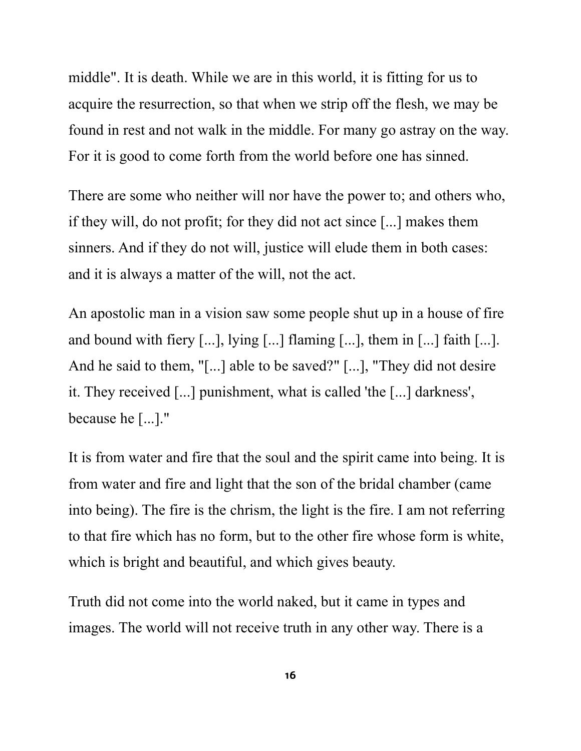middle". It is death. While we are in this world, it is fitting for us to acquire the resurrection, so that when we strip off the flesh, we may be found in rest and not walk in the middle. For many go astray on the way. For it is good to come forth from the world before one has sinned.

There are some who neither will nor have the power to; and others who, if they will, do not profit; for they did not act since [...] makes them sinners. And if they do not will, justice will elude them in both cases: and it is always a matter of the will, not the act.

An apostolic man in a vision saw some people shut up in a house of fire and bound with fiery  $[\dots]$ , lying  $[\dots]$  flaming  $[\dots]$ , them in  $[\dots]$  faith  $[\dots]$ . And he said to them, "[...] able to be saved?" [...], "They did not desire it. They received [...] punishment, what is called 'the [...] darkness', because he [...]."

It is from water and fire that the soul and the spirit came into being. It is from water and fire and light that the son of the bridal chamber (came into being). The fire is the chrism, the light is the fire. I am not referring to that fire which has no form, but to the other fire whose form is white, which is bright and beautiful, and which gives beauty.

Truth did not come into the world naked, but it came in types and images. The world will not receive truth in any other way. There is a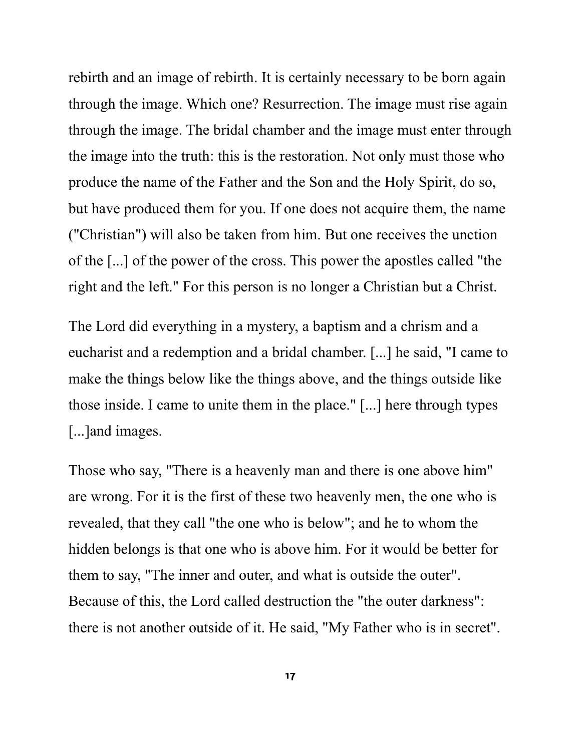rebirth and an image of rebirth. It is certainly necessary to be born again through the image. Which one? Resurrection. The image must rise again through the image. The bridal chamber and the image must enter through the image into the truth: this is the restoration. Not only must those who produce the name of the Father and the Son and the Holy Spirit, do so, but have produced them for you. If one does not acquire them, the name ("Christian") will also be taken from him. But one receives the unction of the [...] of the power of the cross. This power the apostles called "the right and the left." For this person is no longer a Christian but a Christ.

The Lord did everything in a mystery, a baptism and a chrism and a eucharist and a redemption and a bridal chamber. [...] he said, "I came to make the things below like the things above, and the things outside like those inside. I came to unite them in the place." [...] here through types [...]and images.

Those who say, "There is a heavenly man and there is one above him" are wrong. For it is the first of these two heavenly men, the one who is revealed, that they call "the one who is below"; and he to whom the hidden belongs is that one who is above him. For it would be better for them to say, "The inner and outer, and what is outside the outer". Because of this, the Lord called destruction the "the outer darkness": there is not another outside of it. He said, "My Father who is in secret".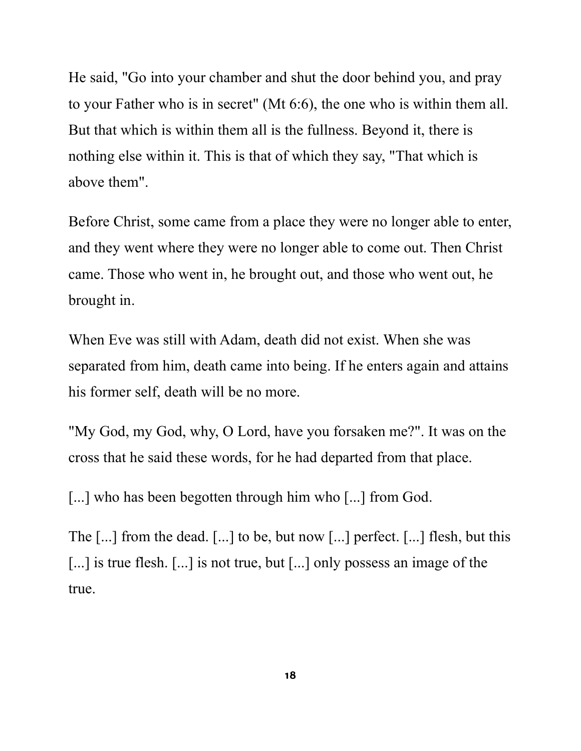He said, "Go into your chamber and shut the door behind you, and pray to your Father who is in secret" (Mt 6:6), the one who is within them all. But that which is within them all is the fullness. Beyond it, there is nothing else within it. This is that of which they say, "That which is above them".

Before Christ, some came from a place they were no longer able to enter, and they went where they were no longer able to come out. Then Christ came. Those who went in, he brought out, and those who went out, he brought in.

When Eve was still with Adam, death did not exist. When she was separated from him, death came into being. If he enters again and attains his former self, death will be no more.

"My God, my God, why, O Lord, have you forsaken me?". It was on the cross that he said these words, for he had departed from that place.

[...] who has been begotten through him who [...] from God.

The [...] from the dead. [...] to be, but now [...] perfect. [...] flesh, but this [...] is true flesh. [...] is not true, but [...] only possess an image of the true.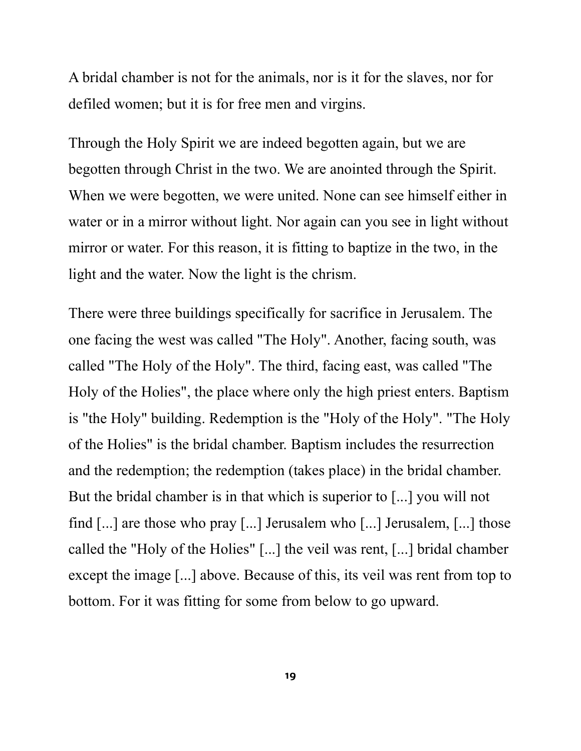A bridal chamber is not for the animals, nor is it for the slaves, nor for defiled women; but it is for free men and virgins.

Through the Holy Spirit we are indeed begotten again, but we are begotten through Christ in the two. We are anointed through the Spirit. When we were begotten, we were united. None can see himself either in water or in a mirror without light. Nor again can you see in light without mirror or water. For this reason, it is fitting to baptize in the two, in the light and the water. Now the light is the chrism.

There were three buildings specifically for sacrifice in Jerusalem. The one facing the west was called "The Holy". Another, facing south, was called "The Holy of the Holy". The third, facing east, was called "The Holy of the Holies", the place where only the high priest enters. Baptism is "the Holy" building. Redemption is the "Holy of the Holy". "The Holy of the Holies" is the bridal chamber. Baptism includes the resurrection and the redemption; the redemption (takes place) in the bridal chamber. But the bridal chamber is in that which is superior to [...] you will not find [...] are those who pray [...] Jerusalem who [...] Jerusalem, [...] those called the "Holy of the Holies" [...] the veil was rent, [...] bridal chamber except the image [...] above. Because of this, its veil was rent from top to bottom. For it was fitting for some from below to go upward.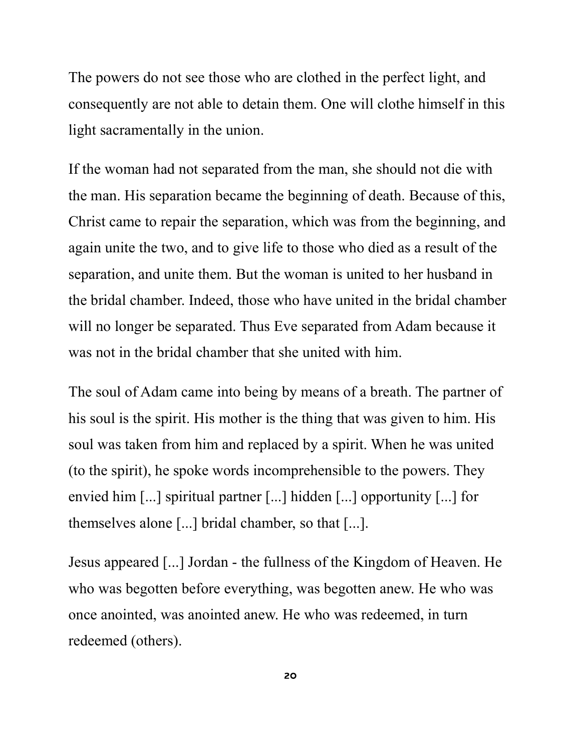The powers do not see those who are clothed in the perfect light, and consequently are not able to detain them. One will clothe himself in this light sacramentally in the union.

If the woman had not separated from the man, she should not die with the man. His separation became the beginning of death. Because of this, Christ came to repair the separation, which was from the beginning, and again unite the two, and to give life to those who died as a result of the separation, and unite them. But the woman is united to her husband in the bridal chamber. Indeed, those who have united in the bridal chamber will no longer be separated. Thus Eve separated from Adam because it was not in the bridal chamber that she united with him.

The soul of Adam came into being by means of a breath. The partner of his soul is the spirit. His mother is the thing that was given to him. His soul was taken from him and replaced by a spirit. When he was united (to the spirit), he spoke words incomprehensible to the powers. They envied him [...] spiritual partner [...] hidden [...] opportunity [...] for themselves alone [...] bridal chamber, so that [...].

Jesus appeared [...] Jordan - the fullness of the Kingdom of Heaven. He who was begotten before everything, was begotten anew. He who was once anointed, was anointed anew. He who was redeemed, in turn redeemed (others).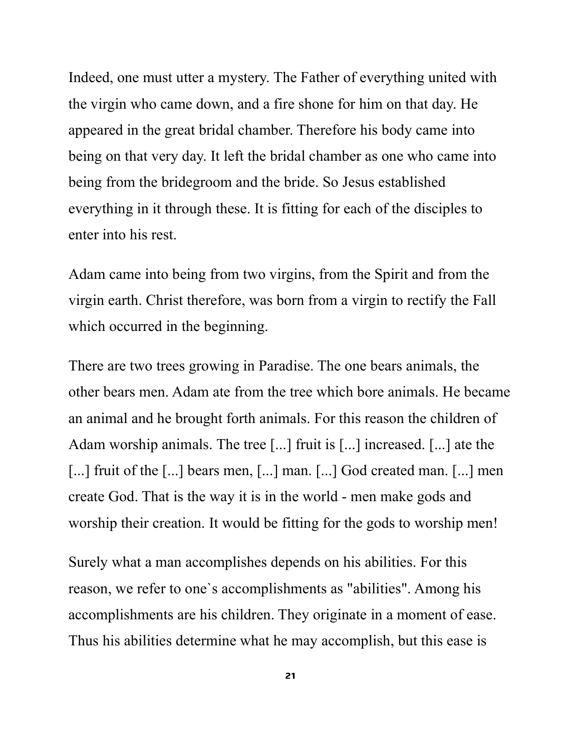Indeed, one must utter a mystery. The Father of everything united with the virgin who came down, and a fire shone for him on that day. He appeared in the great bridal chamber. Therefore his body came into being on that very day. It left the bridal chamber as one who came into being from the bridegroom and the bride. So Jesus established everything in it through these. It is fitting for each of the disciples to enter into his rest.

Adam came into being from two virgins, from the Spirit and from the virgin earth. Christ therefore, was born from a virgin to rectify the Fall which occurred in the beginning.

There are two trees growing in Paradise. The one bears animals, the other bears men. Adam ate from the tree which bore animals. He became an animal and he brought forth animals. For this reason the children of Adam worship animals. The tree [...] fruit is [...] increased. [...] ate the [...] fruit of the [...] bears men, [...] man. [...] God created man. [...] men create God. That is the way it is in the world - men make gods and worship their creation. It would be fitting for the gods to worship men!

Surely what a man accomplishes depends on his abilities. For this reason, we refer to one`s accomplishments as "abilities". Among his accomplishments are his children. They originate in a moment of ease. Thus his abilities determine what he may accomplish, but this ease is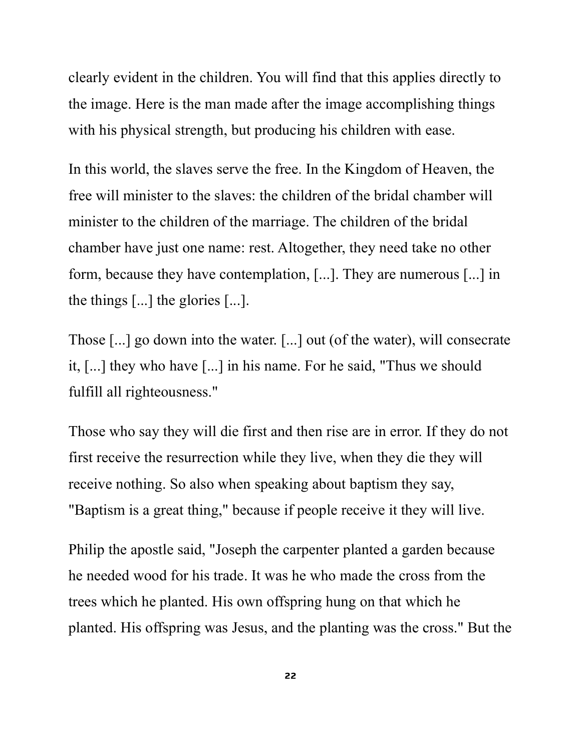clearly evident in the children. You will find that this applies directly to the image. Here is the man made after the image accomplishing things with his physical strength, but producing his children with ease.

In this world, the slaves serve the free. In the Kingdom of Heaven, the free will minister to the slaves: the children of the bridal chamber will minister to the children of the marriage. The children of the bridal chamber have just one name: rest. Altogether, they need take no other form, because they have contemplation, [...]. They are numerous [...] in the things [...] the glories [...].

Those [...] go down into the water. [...] out (of the water), will consecrate it, [...] they who have [...] in his name. For he said, "Thus we should fulfill all righteousness."

Those who say they will die first and then rise are in error. If they do not first receive the resurrection while they live, when they die they will receive nothing. So also when speaking about baptism they say, "Baptism is a great thing," because if people receive it they will live.

Philip the apostle said, "Joseph the carpenter planted a garden because he needed wood for his trade. It was he who made the cross from the trees which he planted. His own offspring hung on that which he planted. His offspring was Jesus, and the planting was the cross." But the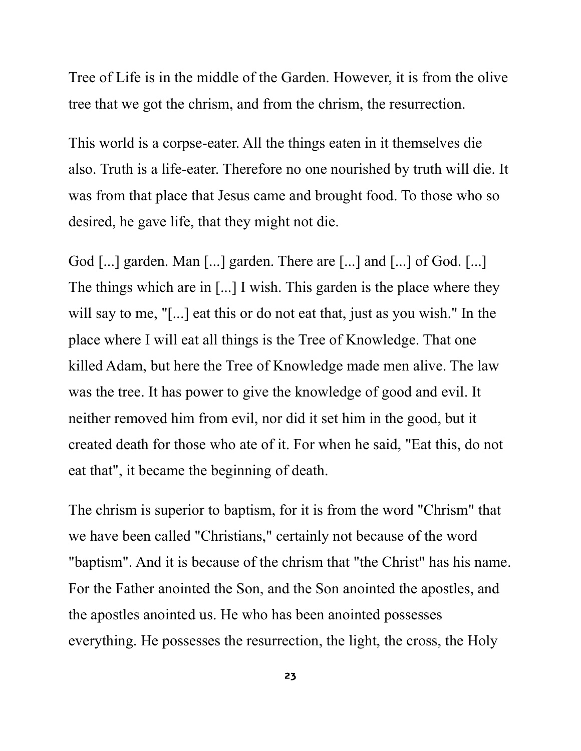Tree of Life is in the middle of the Garden. However, it is from the olive tree that we got the chrism, and from the chrism, the resurrection.

This world is a corpse-eater. All the things eaten in it themselves die also. Truth is a life-eater. Therefore no one nourished by truth will die. It was from that place that Jesus came and brought food. To those who so desired, he gave life, that they might not die.

God [...] garden. Man [...] garden. There are [...] and [...] of God. [...] The things which are in [...] I wish. This garden is the place where they will say to me, "[...] eat this or do not eat that, just as you wish." In the place where I will eat all things is the Tree of Knowledge. That one killed Adam, but here the Tree of Knowledge made men alive. The law was the tree. It has power to give the knowledge of good and evil. It neither removed him from evil, nor did it set him in the good, but it created death for those who ate of it. For when he said, "Eat this, do not eat that", it became the beginning of death.

The chrism is superior to baptism, for it is from the word "Chrism" that we have been called "Christians," certainly not because of the word "baptism". And it is because of the chrism that "the Christ" has his name. For the Father anointed the Son, and the Son anointed the apostles, and the apostles anointed us. He who has been anointed possesses everything. He possesses the resurrection, the light, the cross, the Holy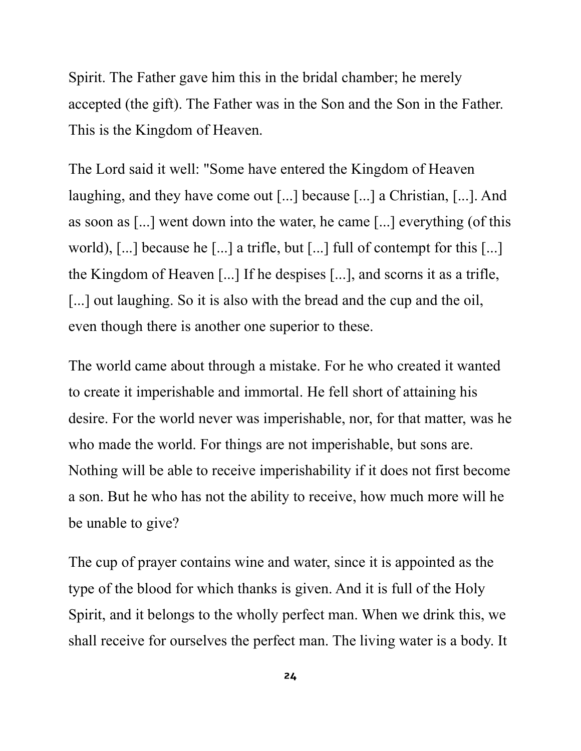Spirit. The Father gave him this in the bridal chamber; he merely accepted (the gift). The Father was in the Son and the Son in the Father. This is the Kingdom of Heaven.

The Lord said it well: "Some have entered the Kingdom of Heaven laughing, and they have come out [...] because [...] a Christian, [...]. And as soon as [...] went down into the water, he came [...] everything (of this world), [...] because he [...] a trifle, but [...] full of contempt for this [...] the Kingdom of Heaven [...] If he despises [...], and scorns it as a trifle, [...] out laughing. So it is also with the bread and the cup and the oil, even though there is another one superior to these.

The world came about through a mistake. For he who created it wanted to create it imperishable and immortal. He fell short of attaining his desire. For the world never was imperishable, nor, for that matter, was he who made the world. For things are not imperishable, but sons are. Nothing will be able to receive imperishability if it does not first become a son. But he who has not the ability to receive, how much more will he be unable to give?

The cup of prayer contains wine and water, since it is appointed as the type of the blood for which thanks is given. And it is full of the Holy Spirit, and it belongs to the wholly perfect man. When we drink this, we shall receive for ourselves the perfect man. The living water is a body. It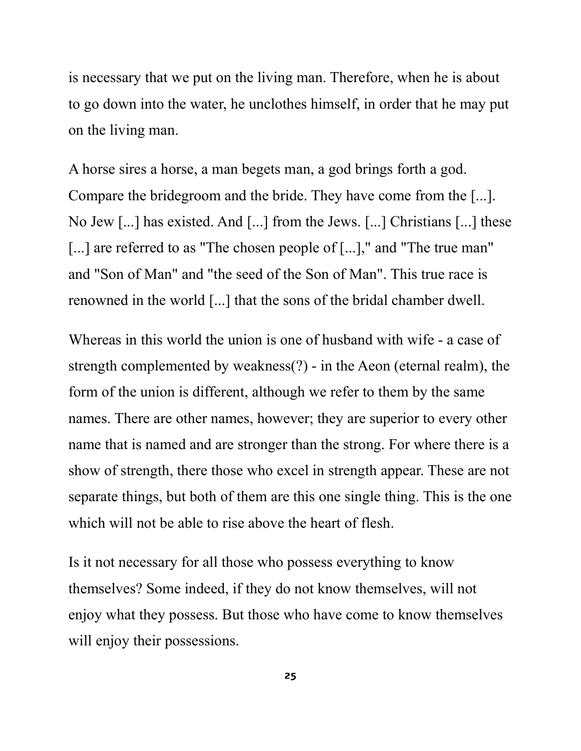is necessary that we put on the living man. Therefore, when he is about to go down into the water, he unclothes himself, in order that he may put on the living man.

A horse sires a horse, a man begets man, a god brings forth a god. Compare the bridegroom and the bride. They have come from the [...]. No Jew [...] has existed. And [...] from the Jews. [...] Christians [...] these [...] are referred to as "The chosen people of [...]," and "The true man" and "Son of Man" and "the seed of the Son of Man". This true race is renowned in the world [...] that the sons of the bridal chamber dwell.

Whereas in this world the union is one of husband with wife - a case of strength complemented by weakness(?) - in the Aeon (eternal realm), the form of the union is different, although we refer to them by the same names. There are other names, however; they are superior to every other name that is named and are stronger than the strong. For where there is a show of strength, there those who excel in strength appear. These are not separate things, but both of them are this one single thing. This is the one which will not be able to rise above the heart of flesh.

Is it not necessary for all those who possess everything to know themselves? Some indeed, if they do not know themselves, will not enjoy what they possess. But those who have come to know themselves will enjoy their possessions.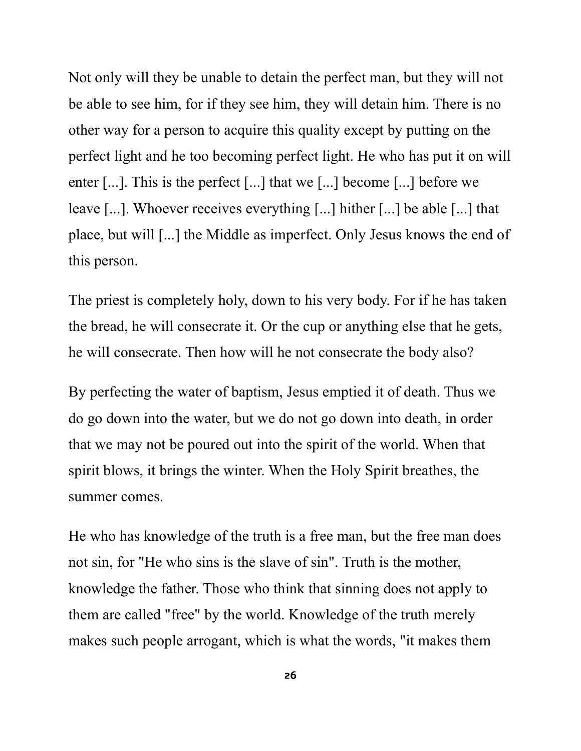Not only will they be unable to detain the perfect man, but they will not be able to see him, for if they see him, they will detain him. There is no other way for a person to acquire this quality except by putting on the perfect light and he too becoming perfect light. He who has put it on will enter [...]. This is the perfect [...] that we [...] become [...] before we leave [...]. Whoever receives everything [...] hither [...] be able [...] that place, but will [...] the Middle as imperfect. Only Jesus knows the end of this person.

The priest is completely holy, down to his very body. For if he has taken the bread, he will consecrate it. Or the cup or anything else that he gets, he will consecrate. Then how will he not consecrate the body also?

By perfecting the water of baptism, Jesus emptied it of death. Thus we do go down into the water, but we do not go down into death, in order that we may not be poured out into the spirit of the world. When that spirit blows, it brings the winter. When the Holy Spirit breathes, the summer comes.

He who has knowledge of the truth is a free man, but the free man does not sin, for "He who sins is the slave of sin". Truth is the mother, knowledge the father. Those who think that sinning does not apply to them are called "free" by the world. Knowledge of the truth merely makes such people arrogant, which is what the words, "it makes them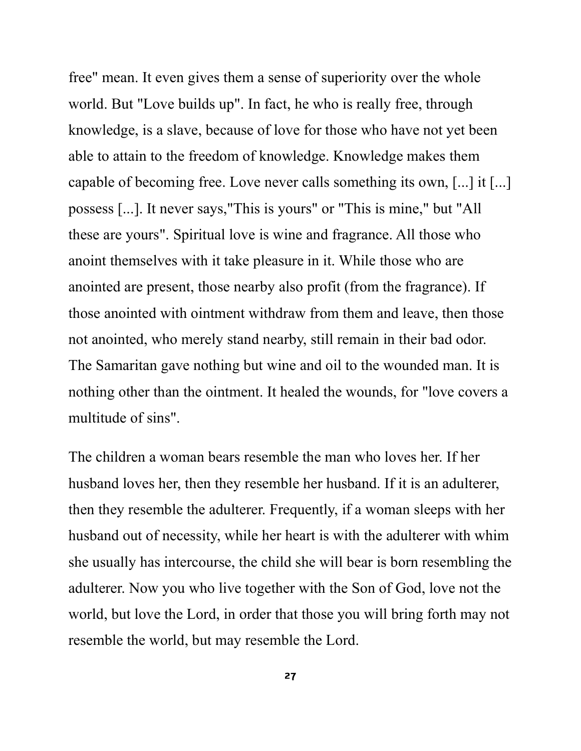free" mean. It even gives them a sense of superiority over the whole world. But "Love builds up". In fact, he who is really free, through knowledge, is a slave, because of love for those who have not yet been able to attain to the freedom of knowledge. Knowledge makes them capable of becoming free. Love never calls something its own, [...] it [...] possess [...]. It never says,"This is yours" or "This is mine," but "All these are yours". Spiritual love is wine and fragrance. All those who anoint themselves with it take pleasure in it. While those who are anointed are present, those nearby also profit (from the fragrance). If those anointed with ointment withdraw from them and leave, then those not anointed, who merely stand nearby, still remain in their bad odor. The Samaritan gave nothing but wine and oil to the wounded man. It is nothing other than the ointment. It healed the wounds, for "love covers a multitude of sins".

The children a woman bears resemble the man who loves her. If her husband loves her, then they resemble her husband. If it is an adulterer, then they resemble the adulterer. Frequently, if a woman sleeps with her husband out of necessity, while her heart is with the adulterer with whim she usually has intercourse, the child she will bear is born resembling the adulterer. Now you who live together with the Son of God, love not the world, but love the Lord, in order that those you will bring forth may not resemble the world, but may resemble the Lord.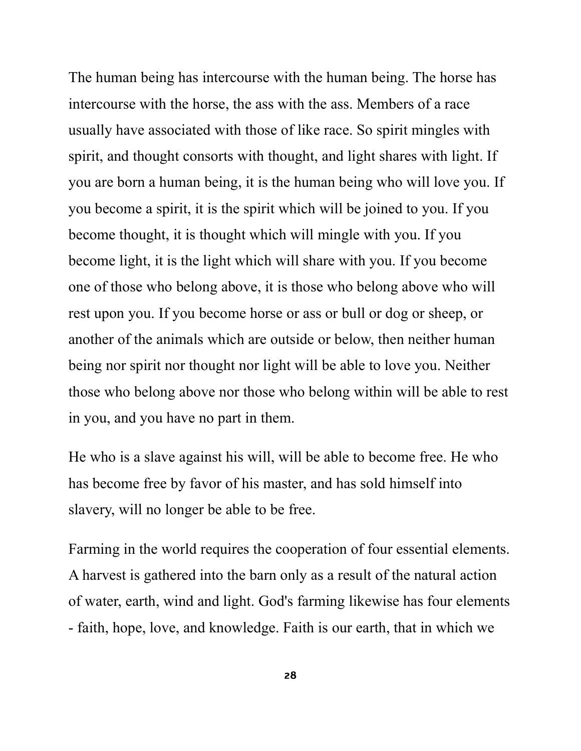The human being has intercourse with the human being. The horse has intercourse with the horse, the ass with the ass. Members of a race usually have associated with those of like race. So spirit mingles with spirit, and thought consorts with thought, and light shares with light. If you are born a human being, it is the human being who will love you. If you become a spirit, it is the spirit which will be joined to you. If you become thought, it is thought which will mingle with you. If you become light, it is the light which will share with you. If you become one of those who belong above, it is those who belong above who will rest upon you. If you become horse or ass or bull or dog or sheep, or another of the animals which are outside or below, then neither human being nor spirit nor thought nor light will be able to love you. Neither those who belong above nor those who belong within will be able to rest in you, and you have no part in them.

He who is a slave against his will, will be able to become free. He who has become free by favor of his master, and has sold himself into slavery, will no longer be able to be free.

Farming in the world requires the cooperation of four essential elements. A harvest is gathered into the barn only as a result of the natural action of water, earth, wind and light. God's farming likewise has four elements - faith, hope, love, and knowledge. Faith is our earth, that in which we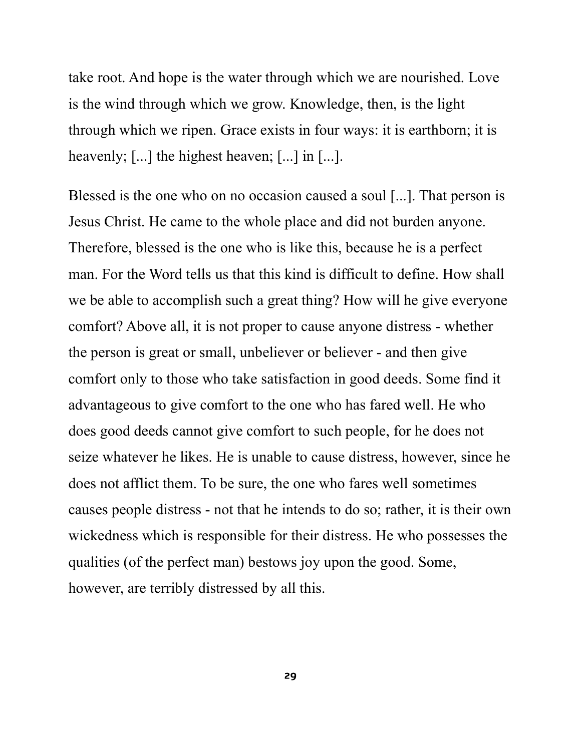take root. And hope is the water through which we are nourished. Love is the wind through which we grow. Knowledge, then, is the light through which we ripen. Grace exists in four ways: it is earthborn; it is heavenly; [...] the highest heaven; [...] in [...].

Blessed is the one who on no occasion caused a soul [...]. That person is Jesus Christ. He came to the whole place and did not burden anyone. Therefore, blessed is the one who is like this, because he is a perfect man. For the Word tells us that this kind is difficult to define. How shall we be able to accomplish such a great thing? How will he give everyone comfort? Above all, it is not proper to cause anyone distress - whether the person is great or small, unbeliever or believer - and then give comfort only to those who take satisfaction in good deeds. Some find it advantageous to give comfort to the one who has fared well. He who does good deeds cannot give comfort to such people, for he does not seize whatever he likes. He is unable to cause distress, however, since he does not afflict them. To be sure, the one who fares well sometimes causes people distress - not that he intends to do so; rather, it is their own wickedness which is responsible for their distress. He who possesses the qualities (of the perfect man) bestows joy upon the good. Some, however, are terribly distressed by all this.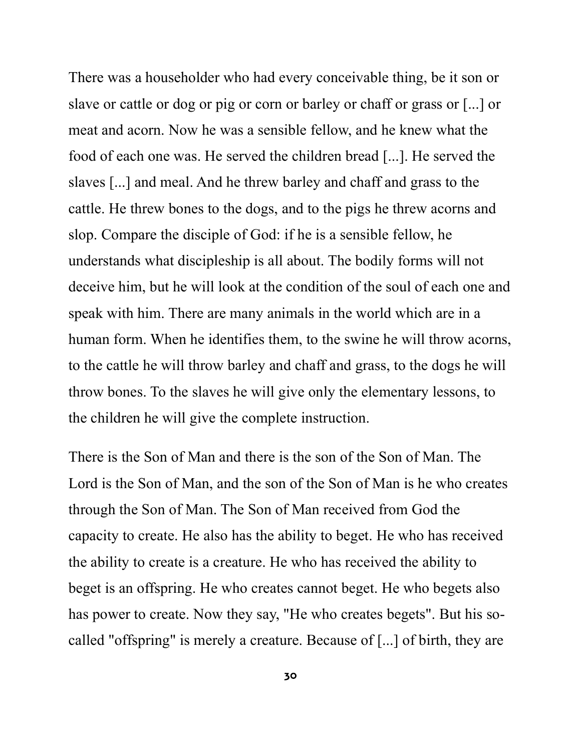There was a householder who had every conceivable thing, be it son or slave or cattle or dog or pig or corn or barley or chaff or grass or [...] or meat and acorn. Now he was a sensible fellow, and he knew what the food of each one was. He served the children bread [...]. He served the slaves [...] and meal. And he threw barley and chaff and grass to the cattle. He threw bones to the dogs, and to the pigs he threw acorns and slop. Compare the disciple of God: if he is a sensible fellow, he understands what discipleship is all about. The bodily forms will not deceive him, but he will look at the condition of the soul of each one and speak with him. There are many animals in the world which are in a human form. When he identifies them, to the swine he will throw acorns, to the cattle he will throw barley and chaff and grass, to the dogs he will throw bones. To the slaves he will give only the elementary lessons, to the children he will give the complete instruction.

There is the Son of Man and there is the son of the Son of Man. The Lord is the Son of Man, and the son of the Son of Man is he who creates through the Son of Man. The Son of Man received from God the capacity to create. He also has the ability to beget. He who has received the ability to create is a creature. He who has received the ability to beget is an offspring. He who creates cannot beget. He who begets also has power to create. Now they say, "He who creates begets". But his socalled "offspring" is merely a creature. Because of [...] of birth, they are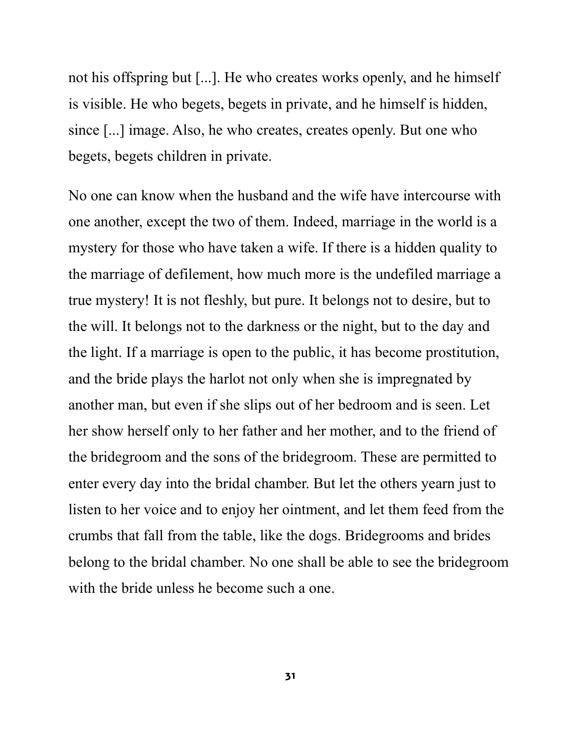not his offspring but [...]. He who creates works openly, and he himself is visible. He who begets, begets in private, and he himself is hidden, since [...] image. Also, he who creates, creates openly. But one who begets, begets children in private.

No one can know when the husband and the wife have intercourse with one another, except the two of them. Indeed, marriage in the world is a mystery for those who have taken a wife. If there is a hidden quality to the marriage of defilement, how much more is the undefiled marriage a true mystery! It is not fleshly, but pure. It belongs not to desire, but to the will. It belongs not to the darkness or the night, but to the day and the light. If a marriage is open to the public, it has become prostitution, and the bride plays the harlot not only when she is impregnated by another man, but even if she slips out of her bedroom and is seen. Let her show herself only to her father and her mother, and to the friend of the bridegroom and the sons of the bridegroom. These are permitted to enter every day into the bridal chamber. But let the others yearn just to listen to her voice and to enjoy her ointment, and let them feed from the crumbs that fall from the table, like the dogs. Bridegrooms and brides belong to the bridal chamber. No one shall be able to see the bridegroom with the bride unless he become such a one.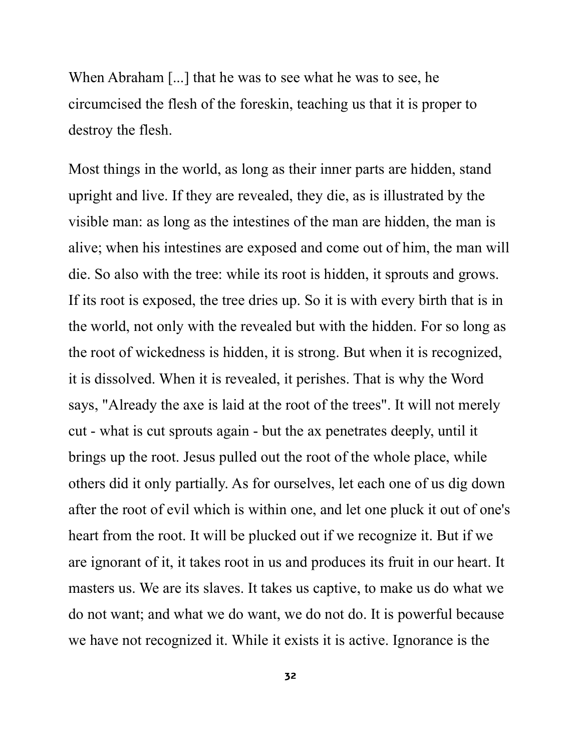When Abraham [...] that he was to see what he was to see, he circumcised the flesh of the foreskin, teaching us that it is proper to destroy the flesh.

Most things in the world, as long as their inner parts are hidden, stand upright and live. If they are revealed, they die, as is illustrated by the visible man: as long as the intestines of the man are hidden, the man is alive; when his intestines are exposed and come out of him, the man will die. So also with the tree: while its root is hidden, it sprouts and grows. If its root is exposed, the tree dries up. So it is with every birth that is in the world, not only with the revealed but with the hidden. For so long as the root of wickedness is hidden, it is strong. But when it is recognized, it is dissolved. When it is revealed, it perishes. That is why the Word says, "Already the axe is laid at the root of the trees". It will not merely cut - what is cut sprouts again - but the ax penetrates deeply, until it brings up the root. Jesus pulled out the root of the whole place, while others did it only partially. As for ourselves, let each one of us dig down after the root of evil which is within one, and let one pluck it out of one's heart from the root. It will be plucked out if we recognize it. But if we are ignorant of it, it takes root in us and produces its fruit in our heart. It masters us. We are its slaves. It takes us captive, to make us do what we do not want; and what we do want, we do not do. It is powerful because we have not recognized it. While it exists it is active. Ignorance is the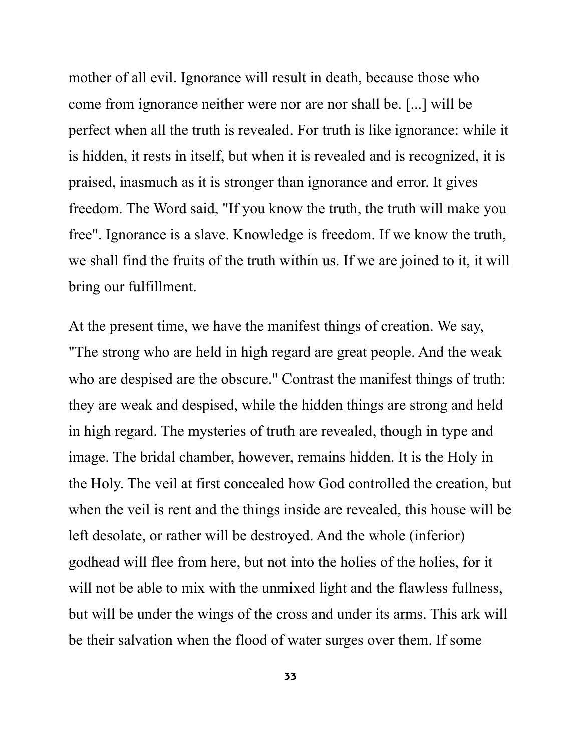mother of all evil. Ignorance will result in death, because those who come from ignorance neither were nor are nor shall be. [...] will be perfect when all the truth is revealed. For truth is like ignorance: while it is hidden, it rests in itself, but when it is revealed and is recognized, it is praised, inasmuch as it is stronger than ignorance and error. It gives freedom. The Word said, "If you know the truth, the truth will make you free". Ignorance is a slave. Knowledge is freedom. If we know the truth, we shall find the fruits of the truth within us. If we are joined to it, it will bring our fulfillment.

At the present time, we have the manifest things of creation. We say, "The strong who are held in high regard are great people. And the weak who are despised are the obscure." Contrast the manifest things of truth: they are weak and despised, while the hidden things are strong and held in high regard. The mysteries of truth are revealed, though in type and image. The bridal chamber, however, remains hidden. It is the Holy in the Holy. The veil at first concealed how God controlled the creation, but when the veil is rent and the things inside are revealed, this house will be left desolate, or rather will be destroyed. And the whole (inferior) godhead will flee from here, but not into the holies of the holies, for it will not be able to mix with the unmixed light and the flawless fullness, but will be under the wings of the cross and under its arms. This ark will be their salvation when the flood of water surges over them. If some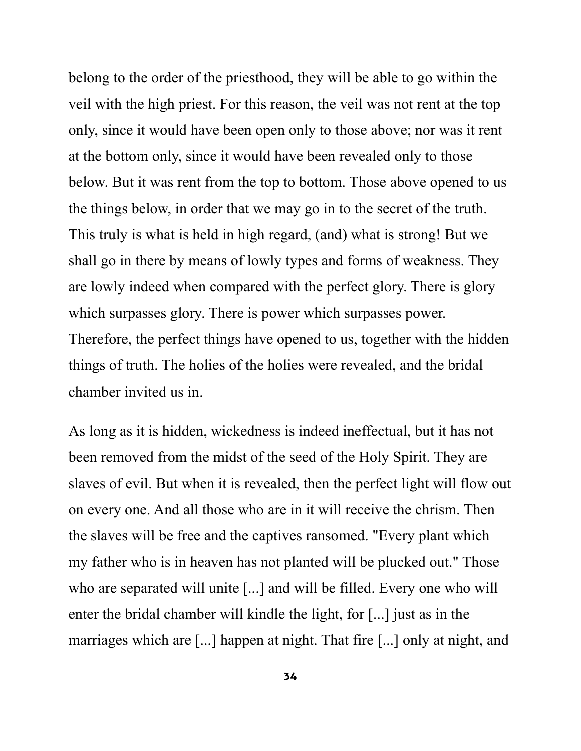belong to the order of the priesthood, they will be able to go within the veil with the high priest. For this reason, the veil was not rent at the top only, since it would have been open only to those above; nor was it rent at the bottom only, since it would have been revealed only to those below. But it was rent from the top to bottom. Those above opened to us the things below, in order that we may go in to the secret of the truth. This truly is what is held in high regard, (and) what is strong! But we shall go in there by means of lowly types and forms of weakness. They are lowly indeed when compared with the perfect glory. There is glory which surpasses glory. There is power which surpasses power. Therefore, the perfect things have opened to us, together with the hidden things of truth. The holies of the holies were revealed, and the bridal chamber invited us in.

As long as it is hidden, wickedness is indeed ineffectual, but it has not been removed from the midst of the seed of the Holy Spirit. They are slaves of evil. But when it is revealed, then the perfect light will flow out on every one. And all those who are in it will receive the chrism. Then the slaves will be free and the captives ransomed. "Every plant which my father who is in heaven has not planted will be plucked out." Those who are separated will unite [...] and will be filled. Every one who will enter the bridal chamber will kindle the light, for [...] just as in the marriages which are [...] happen at night. That fire [...] only at night, and